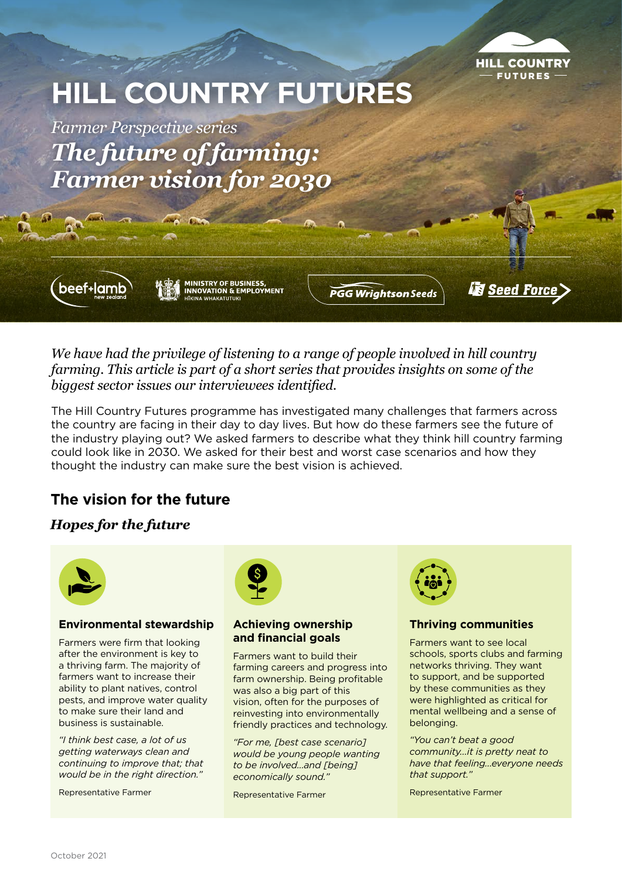

# **HILL COUNTRY FUTURES**

*Farmer Perspective series The future of farming: Farmer vision for 2030*



**MINISTRY OF BUSINESS,<br>INNOVATION & EMPLOYMENT HIKINA WHAKATUTUKI** 

**PGG Wrightson Seeds** 

**Seed Force** 

*We have had the privilege of listening to a range of people involved in hill country farming. This article is part of a short series that provides insights on some of the biggest sector issues our interviewees identified.* 

The Hill Country Futures programme has investigated many challenges that farmers across the country are facing in their day to day lives. But how do these farmers see the future of the industry playing out? We asked farmers to describe what they think hill country farming could look like in 2030. We asked for their best and worst case scenarios and how they thought the industry can make sure the best vision is achieved.

# **The vision for the future**

# *Hopes for the future*



### **Environmental stewardship**

Farmers were firm that looking after the environment is key to a thriving farm. The majority of farmers want to increase their ability to plant natives, control pests, and improve water quality to make sure their land and business is sustainable.

*"I think best case, a lot of us getting waterways clean and continuing to improve that; that would be in the right direction."*

Representative Farmer



#### **Achieving ownership and financial goals**

Farmers want to build their farming careers and progress into farm ownership. Being profitable was also a big part of this vision, often for the purposes of reinvesting into environmentally friendly practices and technology.

*"For me, [best case scenario] would be young people wanting to be involved...and [being] economically sound."* 

Representative Farmer



## **Thriving communities**

Farmers want to see local schools, sports clubs and farming networks thriving. They want to support, and be supported by these communities as they were highlighted as critical for mental wellbeing and a sense of belonging.

*"You can't beat a good community...it is pretty neat to have that feeling...everyone needs that support."*

Representative Farmer